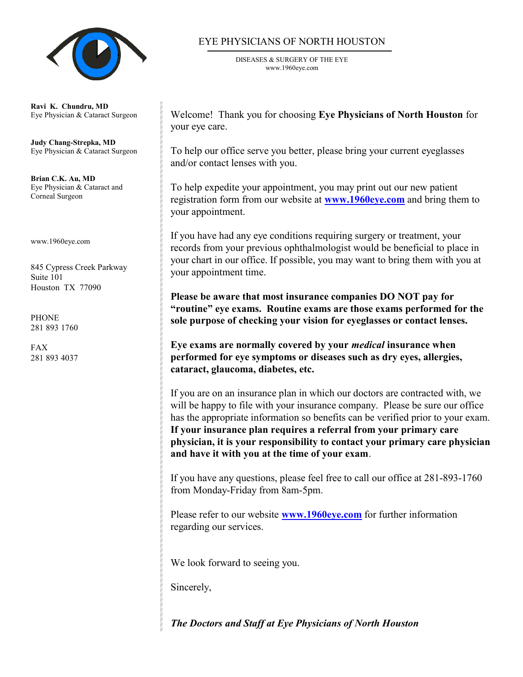

Ravi K. Chundru, MD Eye Physician & Cataract Surgeon

Judy Chang-Strepka, MD Eye Physician & Cataract Surgeon

Brian C.K. Au, MD Eye Physician & Cataract and Corneal Surgeon

www.1960eye.com

845 Cypress Creek Parkway Suite 101 Houston TX 77090

PHONE 281 893 1760

FAX 281 893 4037

### EYE PHYSICIANS OF NORTH HOUSTON

DISEASES & SURGERY OF THE EYE www.1960eye.com

Welcome! Thank you for choosing Eye Physicians of North Houston for your eye care.

To help our office serve you better, please bring your current eyeglasses and/or contact lenses with you.

To help expedite your appointment, you may print out our new patient registration form from our website at **www.1960eye.com** and bring them to your appointment.

If you have had any eye conditions requiring surgery or treatment, your records from your previous ophthalmologist would be beneficial to place in your chart in our office. If possible, you may want to bring them with you at your appointment time.

Please be aware that most insurance companies DO NOT pay for "routine" eye exams. Routine exams are those exams performed for the sole purpose of checking your vision for eyeglasses or contact lenses.

Eye exams are normally covered by your medical insurance when performed for eye symptoms or diseases such as dry eyes, allergies, cataract, glaucoma, diabetes, etc.

If you are on an insurance plan in which our doctors are contracted with, we will be happy to file with your insurance company. Please be sure our office has the appropriate information so benefits can be verified prior to your exam. If your insurance plan requires a referral from your primary care physician, it is your responsibility to contact your primary care physician and have it with you at the time of your exam.

If you have any questions, please feel free to call our office at 281-893-1760 from Monday-Friday from 8am-5pm.

Please refer to our website **www.1960eye.com** for further information regarding our services.

We look forward to seeing you.

Sincerely,

The Doctors and Staff at Eye Physicians of North Houston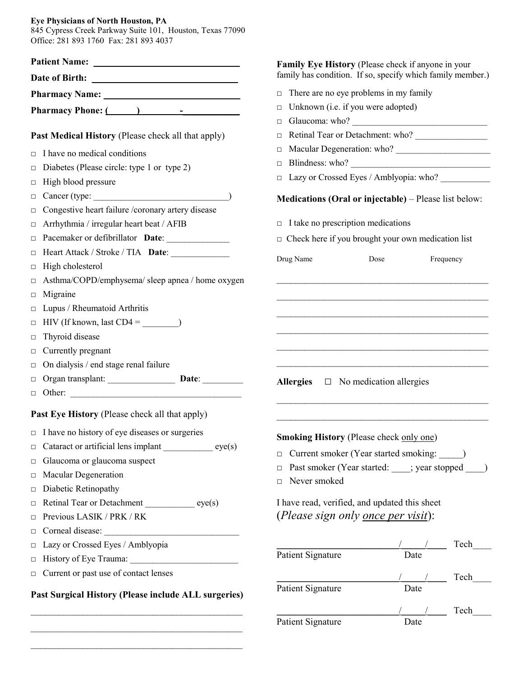#### Eye Physicians of North Houston, PA

845 Cypress Creek Parkway Suite 101, Houston, Texas 77090 Office: 281 893 1760 Fax: 281 893 4037

 $\mathcal{L}_\text{max}$  and  $\mathcal{L}_\text{max}$  and  $\mathcal{L}_\text{max}$ 

|                                                                                                                                                                                                                                | Family Eye History (Please check if anyone in your             |  |
|--------------------------------------------------------------------------------------------------------------------------------------------------------------------------------------------------------------------------------|----------------------------------------------------------------|--|
|                                                                                                                                                                                                                                | family has condition. If so, specify which family member.)     |  |
|                                                                                                                                                                                                                                | There are no eye problems in my family                         |  |
| Pharmacy Phone: (Call The Contract of The Contract of The Contract of The Contract of The Contract of The Contract of The Contract of The Contract of The Contract of The Contract of The Contract of The Contract of The Cont | Unknown (i.e. if you were adopted)                             |  |
|                                                                                                                                                                                                                                | Glaucoma: who?<br>$\Box$                                       |  |
| Past Medical History (Please check all that apply)                                                                                                                                                                             | Retinal Tear or Detachment: who?<br>$\Box$                     |  |
| $\Box$ I have no medical conditions                                                                                                                                                                                            |                                                                |  |
| $\Box$ Diabetes (Please circle: type 1 or type 2)                                                                                                                                                                              | Blindness: who?<br>$\Box$                                      |  |
| $\Box$ High blood pressure                                                                                                                                                                                                     |                                                                |  |
|                                                                                                                                                                                                                                | Medications (Oral or injectable) - Please list below:          |  |
| $\Box$ Congestive heart failure / coronary artery disease                                                                                                                                                                      |                                                                |  |
| $\Box$ Arrhythmia / irregular heart beat / AFIB                                                                                                                                                                                | $\Box$ I take no prescription medications                      |  |
|                                                                                                                                                                                                                                | $\Box$ Check here if you brought your own medication list      |  |
| □ Heart Attack / Stroke / TIA Date:                                                                                                                                                                                            |                                                                |  |
| □ High cholesterol                                                                                                                                                                                                             | Drug Name<br>Dose<br>Frequency                                 |  |
| □ Asthma/COPD/emphysema/ sleep apnea / home oxygen                                                                                                                                                                             |                                                                |  |
| $\Box$ Migraine                                                                                                                                                                                                                |                                                                |  |
| $\Box$ Lupus / Rheumatoid Arthritis                                                                                                                                                                                            |                                                                |  |
| $\Box$ HIV (If known, last CD4 = )                                                                                                                                                                                             |                                                                |  |
| $\Box$ Thyroid disease                                                                                                                                                                                                         |                                                                |  |
| $\Box$ Currently pregnant                                                                                                                                                                                                      |                                                                |  |
| $\Box$ On dialysis / end stage renal failure                                                                                                                                                                                   |                                                                |  |
| □ Organ transplant: <b>Date</b> : <b>Date</b> :                                                                                                                                                                                | $\Box$ No medication allergies<br><b>Allergies</b>             |  |
|                                                                                                                                                                                                                                |                                                                |  |
| <b>Past Eye History</b> (Please check all that apply)                                                                                                                                                                          |                                                                |  |
| $\Box$ I have no history of eye diseases or surgeries                                                                                                                                                                          | <b>Smoking History (Please check only one)</b>                 |  |
| $\Box$ Cataract or artificial lens implant eye(s)                                                                                                                                                                              |                                                                |  |
| $\Box$ Glaucoma or glaucoma suspect                                                                                                                                                                                            | Current smoker (Year started smoking:<br>$\Box$                |  |
| Macular Degeneration                                                                                                                                                                                                           | Past smoker (Year started: ; year stopped<br>□<br>Never smoked |  |
| $\Box$ Diabetic Retinopathy                                                                                                                                                                                                    | □                                                              |  |
| $\Box$ Retinal Tear or Detachment _______________ eye(s)                                                                                                                                                                       | I have read, verified, and updated this sheet                  |  |
| Previous LASIK / PRK / RK                                                                                                                                                                                                      | (Please sign only <u>once per visit</u> ):                     |  |
| $\Box$ Corneal disease: $\Box$                                                                                                                                                                                                 |                                                                |  |
| □ Lazy or Crossed Eyes / Amblyopia                                                                                                                                                                                             | Tech                                                           |  |
| $\Box$ History of Eye Trauma:                                                                                                                                                                                                  | Patient Signature<br>Date                                      |  |
| $\Box$ Current or past use of contact lenses                                                                                                                                                                                   | Tech                                                           |  |
|                                                                                                                                                                                                                                | Patient Signature<br>Date                                      |  |
| Past Surgical History (Please include ALL surgeries)                                                                                                                                                                           |                                                                |  |
|                                                                                                                                                                                                                                | Tech<br>Patient Signature<br>Date                              |  |
|                                                                                                                                                                                                                                |                                                                |  |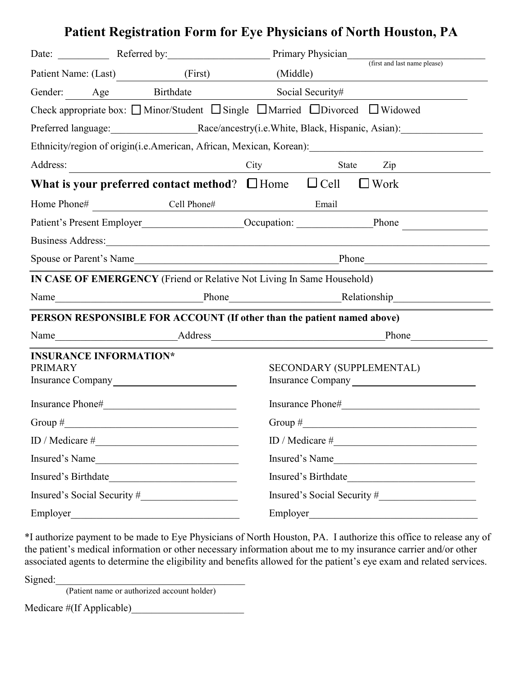| Date: <u>Neferred</u> by:                                                                                      |                                                                                                                      | Primary Physician<br>(first and last name please)                                                                                                                                                                             |
|----------------------------------------------------------------------------------------------------------------|----------------------------------------------------------------------------------------------------------------------|-------------------------------------------------------------------------------------------------------------------------------------------------------------------------------------------------------------------------------|
| Patient Name: (Last) (First)                                                                                   |                                                                                                                      | (Middle)                                                                                                                                                                                                                      |
| Gender: Age Birthdate                                                                                          |                                                                                                                      | Social Security#                                                                                                                                                                                                              |
|                                                                                                                |                                                                                                                      | Check appropriate box: $\Box$ Minor/Student $\Box$ Single $\Box$ Married $\Box$ Divorced $\Box$ Widowed                                                                                                                       |
|                                                                                                                |                                                                                                                      |                                                                                                                                                                                                                               |
|                                                                                                                |                                                                                                                      | Ethnicity/region of origin(i.e.American, African, Mexican, Korean):                                                                                                                                                           |
| Address:                                                                                                       |                                                                                                                      | City<br>Zip<br>State                                                                                                                                                                                                          |
|                                                                                                                |                                                                                                                      | What is your preferred contact method? $\Box$ Home $\Box$ Cell<br>$\Box$ Work                                                                                                                                                 |
| Home Phone# Cell Phone#                                                                                        |                                                                                                                      | Email                                                                                                                                                                                                                         |
|                                                                                                                |                                                                                                                      |                                                                                                                                                                                                                               |
| Business Address: 1988 and 1989 and 1989 and 1989 and 1989 and 1989 and 1989 and 1989 and 1989 and 1989 and 19 |                                                                                                                      |                                                                                                                                                                                                                               |
|                                                                                                                |                                                                                                                      | Spouse or Parent's Name Phone Phone                                                                                                                                                                                           |
|                                                                                                                |                                                                                                                      | IN CASE OF EMERGENCY (Friend or Relative Not Living In Same Household)                                                                                                                                                        |
|                                                                                                                |                                                                                                                      |                                                                                                                                                                                                                               |
|                                                                                                                |                                                                                                                      | PERSON RESPONSIBLE FOR ACCOUNT (If other than the patient named above)                                                                                                                                                        |
|                                                                                                                |                                                                                                                      | Phone and the state of the state of the state of the state of the state of the state of the state of the state of the state of the state of the state of the state of the state of the state of the state of the state of the |
| <b>INSURANCE INFORMATION*</b><br><b>PRIMARY</b>                                                                |                                                                                                                      | SECONDARY (SUPPLEMENTAL)                                                                                                                                                                                                      |
| Insurance Phone#                                                                                               |                                                                                                                      | Insurance Phone#                                                                                                                                                                                                              |
| Group #                                                                                                        |                                                                                                                      | Group #                                                                                                                                                                                                                       |
| ID / Medicare $\#$                                                                                             |                                                                                                                      | ID / Medicare $\#$                                                                                                                                                                                                            |
| Insured's Name                                                                                                 |                                                                                                                      | Insured's Name                                                                                                                                                                                                                |
|                                                                                                                |                                                                                                                      | Insured's Birthdate                                                                                                                                                                                                           |
|                                                                                                                |                                                                                                                      | Insured's Social Security #                                                                                                                                                                                                   |
| Employer                                                                                                       | <u> 1990 - Johann John Stone, mars eta bainar eta erroman eta erroman erroman erroman erroman erroman erroman er</u> | Employer<br><u> 1989 - Johann Stoff, fransk politik (d. 1989)</u>                                                                                                                                                             |

Patient Registration Form for Eye Physicians of North Houston, PA

\*I authorize payment to be made to Eye Physicians of North Houston, PA. I authorize this office to release any of the patient's medical information or other necessary information about me to my insurance carrier and/or other associated agents to determine the eligibility and benefits allowed for the patient's eye exam and related services.

Signed:

(Patient name or authorized account holder)

Medicare #(If Applicable)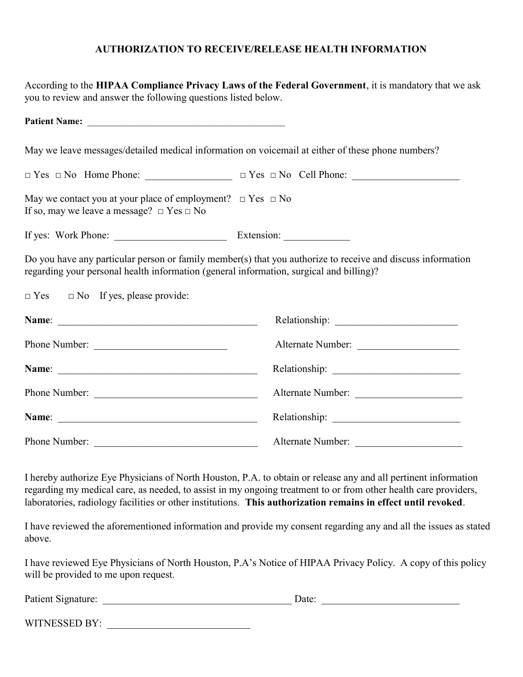#### AUTHORIZATION TO RECEIVE/RELEASE HEALTH INFORMATION

| you to review and answer the following questions listed below.                                                              | According to the HIPAA Compliance Privacy Laws of the Federal Government, it is mandatory that we ask       |  |  |  |
|-----------------------------------------------------------------------------------------------------------------------------|-------------------------------------------------------------------------------------------------------------|--|--|--|
|                                                                                                                             |                                                                                                             |  |  |  |
| May we leave messages/detailed medical information on voicemail at either of these phone numbers?                           |                                                                                                             |  |  |  |
|                                                                                                                             | $\Box$ Yes $\Box$ No Home Phone: $\Box$ $\Box$ Yes $\Box$ No Cell Phone:                                    |  |  |  |
| May we contact you at your place of employment? $\Box$ Yes $\Box$ No<br>If so, may we leave a message? $\Box$ Yes $\Box$ No |                                                                                                             |  |  |  |
|                                                                                                                             |                                                                                                             |  |  |  |
| regarding your personal health information (general information, surgical and billing)?                                     | Do you have any particular person or family member(s) that you authorize to receive and discuss information |  |  |  |
| $\Box$ Yes $\Box$ No If yes, please provide:                                                                                |                                                                                                             |  |  |  |
|                                                                                                                             |                                                                                                             |  |  |  |
| Phone Number:                                                                                                               | Alternate Number:                                                                                           |  |  |  |
|                                                                                                                             |                                                                                                             |  |  |  |
| Phone Number:                                                                                                               | Alternate Number:                                                                                           |  |  |  |
|                                                                                                                             |                                                                                                             |  |  |  |
| Phone Number:                                                                                                               | Alternate Number:                                                                                           |  |  |  |

I hereby authorize Eye Physicians of North Houston, P.A. to obtain or release any and all pertinent information regarding my medical care, as needed, to assist in my ongoing treatment to or from other health care providers, laboratories, radiology facilities or other institutions. This authorization remains in effect until revoked.

I have reviewed the aforementioned information and provide my consent regarding any and all the issues as stated above.

I have reviewed Eye Physicians of North Houston, P.A's Notice of HIPAA Privacy Policy. A copy of this policy will be provided to me upon request.

Patient Signature: \_\_\_\_\_\_\_\_\_\_\_\_\_\_\_\_\_\_\_\_\_\_\_\_\_\_\_\_\_\_\_\_\_\_\_\_\_ Date: \_\_\_\_\_\_\_\_\_\_\_\_\_\_\_\_\_\_\_\_\_\_\_\_\_\_\_

| WITNESSED BY: |  |
|---------------|--|
|               |  |